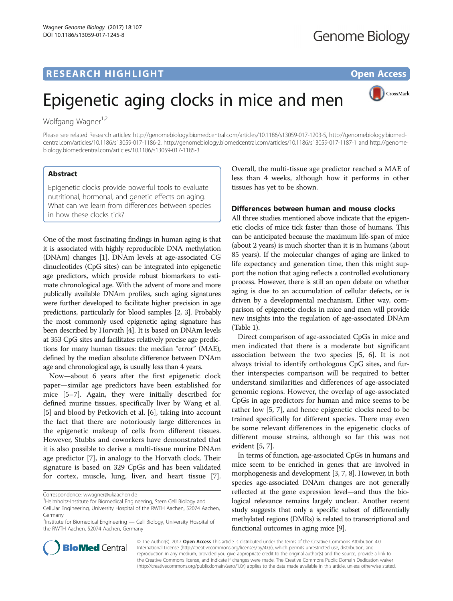## **RESEARCH HIGHLIGHT** THE OPEN ACCESS OPEN ACCESS

CrossMark

# Epigenetic aging clocks in mice and men

Wolfgang Wagner<sup>1,2</sup>

Please see related Research articles: [http://genomebiology.biomedcentral.com/articles/10.1186/s13059-017-1203-5, http://genomebiology.biomed](http://)[central.com/articles/10.1186/s13059-017-1186-2](http://), http://genomebiology.biomedcentral.com/articles/10.1186/s13059-017-1187-1 and [http://genome](http://)[biology.biomedcentral.com/articles/10.1186/s13059-017-1185-3](http://)

## Abstract

Epigenetic clocks provide powerful tools to evaluate nutritional, hormonal, and genetic effects on aging. What can we learn from differences between species in how these clocks tick?

One of the most fascinating findings in human aging is that it is associated with highly reproducible DNA methylation (DNAm) changes [[1\]](#page-2-0). DNAm levels at age-associated CG dinucleotides (CpG sites) can be integrated into epigenetic age predictors, which provide robust biomarkers to estimate chronological age. With the advent of more and more publically available DNAm profiles, such aging signatures were further developed to facilitate higher precision in age predictions, particularly for blood samples [\[2](#page-2-0), [3](#page-2-0)]. Probably the most commonly used epigenetic aging signature has been described by Horvath [[4\]](#page-2-0). It is based on DNAm levels at 353 CpG sites and facilitates relatively precise age predictions for many human tissues: the median "error" (MAE), defined by the median absolute difference between DNAm age and chronological age, is usually less than 4 years.

Now—about 6 years after the first epigenetic clock paper—similar age predictors have been established for mice [\[5](#page-2-0)–[7\]](#page-2-0). Again, they were initially described for defined murine tissues, specifically liver by Wang et al. [[5\]](#page-2-0) and blood by Petkovich et al. [\[6](#page-2-0)], taking into account the fact that there are notoriously large differences in the epigenetic makeup of cells from different tissues. However, Stubbs and coworkers have demonstrated that it is also possible to derive a multi-tissue murine DNAm age predictor [\[7](#page-2-0)], in analogy to the Horvath clock. Their signature is based on 329 CpGs and has been validated for cortex, muscle, lung, liver, and heart tissue [\[7](#page-2-0)].



### Differences between human and mouse clocks

All three studies mentioned above indicate that the epigenetic clocks of mice tick faster than those of humans. This can be anticipated because the maximum life-span of mice (about 2 years) is much shorter than it is in humans (about 85 years). If the molecular changes of aging are linked to life expectancy and generation time, then this might support the notion that aging reflects a controlled evolutionary process. However, there is still an open debate on whether aging is due to an accumulation of cellular defects, or is driven by a developmental mechanism. Either way, comparison of epigenetic clocks in mice and men will provide new insights into the regulation of age-associated DNAm (Table [1\)](#page-1-0).

Direct comparison of age-associated CpGs in mice and men indicated that there is a moderate but significant association between the two species [[5, 6\]](#page-2-0). It is not always trivial to identify orthologous CpG sites, and further interspecies comparison will be required to better understand similarities and differences of age-associated genomic regions. However, the overlap of age-associated CpGs in age predictors for human and mice seems to be rather low [\[5](#page-2-0), [7\]](#page-2-0), and hence epigenetic clocks need to be trained specifically for different species. There may even be some relevant differences in the epigenetic clocks of different mouse strains, although so far this was not evident [[5](#page-2-0), [7\]](#page-2-0).

In terms of function, age-associated CpGs in humans and mice seem to be enriched in genes that are involved in morphogenesis and development [\[3, 7, 8](#page-2-0)]. However, in both species age-associated DNAm changes are not generally reflected at the gene expression level—and thus the biological relevance remains largely unclear. Another recent study suggests that only a specific subset of differentially methylated regions (DMRs) is related to transcriptional and functional outcomes in aging mice [\[9](#page-2-0)].



© The Author(s). 2017 **Open Access** This article is distributed under the terms of the Creative Commons Attribution 4.0 International License [\(http://creativecommons.org/licenses/by/4.0/](http://creativecommons.org/licenses/by/4.0/)), which permits unrestricted use, distribution, and reproduction in any medium, provided you give appropriate credit to the original author(s) and the source, provide a link to the Creative Commons license, and indicate if changes were made. The Creative Commons Public Domain Dedication waiver [\(http://creativecommons.org/publicdomain/zero/1.0/](http://creativecommons.org/publicdomain/zero/1.0/)) applies to the data made available in this article, unless otherwise stated.

Correspondence: [wwagner@ukaachen.de](mailto:wwagner@ukaachen.de) <sup>1</sup>

Helmholtz-Institute for Biomedical Engineering, Stem Cell Biology and Cellular Engineering, University Hospital of the RWTH Aachen, 52074 Aachen, Germany

<sup>&</sup>lt;sup>2</sup>Institute for Biomedical Engineering — Cell Biology, University Hospital of the RWTH Aachen, 52074 Aachen, Germany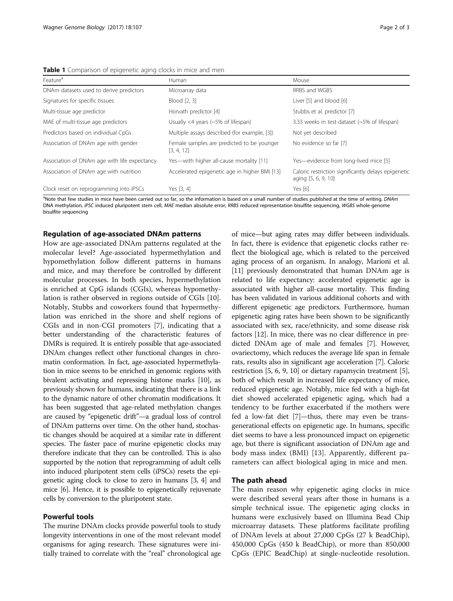<span id="page-1-0"></span>

| Table 1 Comparison of epigenetic aging clocks in mice and men |  |
|---------------------------------------------------------------|--|
|---------------------------------------------------------------|--|

| Feature <sup>a</sup>                         | Human                                                    | Mouse                                                                      |
|----------------------------------------------|----------------------------------------------------------|----------------------------------------------------------------------------|
| DNAm datasets used to derive predictors      | Microarray data                                          | RRBS and WGBS                                                              |
| Signatures for specific tissues              | Blood [2, 3]                                             | Liver [5] and blood [6]                                                    |
| Multi-tissue age predictor                   | Horvath predictor [4]                                    | Stubbs et al. predictor [7]                                                |
| MAE of multi-tissue age predictors           | Usually $<$ 4 years ( $\sim$ 5% of lifespan)             | 3.33 weeks in test dataset (~5% of lifespan)                               |
| Predictors based on individual CpGs          | Multiple assays described (for example, [3])             | Not yet described                                                          |
| Association of DNAm age with gender          | Female samples are predicted to be younger<br>[3, 4, 12] | No evidence so far [7]                                                     |
| Association of DNAm age with life expectancy | Yes—with higher all-cause mortality [11]                 | Yes-evidence from long-lived mice [5]                                      |
| Association of DNAm age with nutrition       | Accelerated epigenetic age in higher BMI [13]            | Caloric restriction significantly delays epigenetic<br>aging [5, 6, 9, 10] |
| Clock reset on reprogramming into iPSCs      | Yes [3, 4]                                               | Yes $[6]$                                                                  |

<sup>a</sup>Note that few studies in mice have been carried out so far, so the information is based on a small number of studies published at the time of writing. *DNAm*<br>DNA methylation *iPSC* induced pluripotent stem cell *MAF* me DNA methylation, iPSC induced pluripotent stem cell, MAE median absolute error, RRBS reduced representation bisulfite sequencing, WGBS whole-genome bisulfite sequencing

#### Regulation of age-associated DNAm patterns

How are age-associated DNAm patterns regulated at the molecular level? Age-associated hypermethylation and hypomethylation follow different patterns in humans and mice, and may therefore be controlled by different molecular processes. In both species, hypermethylation is enriched at CpG islands (CGIs), whereas hypomethylation is rather observed in regions outside of CGIs [\[10](#page-2-0)]. Notably, Stubbs and coworkers found that hypermethylation was enriched in the shore and shelf regions of CGIs and in non-CGI promoters [[7\]](#page-2-0), indicating that a better understanding of the characteristic features of DMRs is required. It is entirely possible that age-associated DNAm changes reflect other functional changes in chromatin conformation. In fact, age-associated hypermethylation in mice seems to be enriched in genomic regions with bivalent activating and repressing histone marks [\[10\]](#page-2-0), as previously shown for humans, indicating that there is a link to the dynamic nature of other chromatin modifications. It has been suggested that age-related methylation changes are caused by "epigenetic drift"—a gradual loss of control of DNAm patterns over time. On the other hand, stochastic changes should be acquired at a similar rate in different species. The faster pace of murine epigenetic clocks may therefore indicate that they can be controlled. This is also supported by the notion that reprogramming of adult cells into induced pluripotent stem cells (iPSCs) resets the epigenetic aging clock to close to zero in humans [\[3, 4](#page-2-0)] and mice [\[6](#page-2-0)]. Hence, it is possible to epigenetically rejuvenate cells by conversion to the pluripotent state.

## Powerful tools

The murine DNAm clocks provide powerful tools to study longevity interventions in one of the most relevant model organisms for aging research. These signatures were initially trained to correlate with the "real" chronological age

of mice—but aging rates may differ between individuals. In fact, there is evidence that epigenetic clocks rather reflect the biological age, which is related to the perceived aging process of an organism. In analogy, Marioni et al. [[11](#page-2-0)] previously demonstrated that human DNAm age is related to life expectancy: accelerated epigenetic age is associated with higher all-cause mortality. This finding has been validated in various additional cohorts and with different epigenetic age predictors. Furthermore, human epigenetic aging rates have been shown to be significantly associated with sex, race/ethnicity, and some disease risk factors [[12](#page-2-0)]. In mice, there was no clear difference in predicted DNAm age of male and females [[7](#page-2-0)]. However, ovariectomy, which reduces the average life span in female rats, results also in significant age acceleration [[7\]](#page-2-0). Caloric restriction [[5](#page-2-0), [6](#page-2-0), [9](#page-2-0), [10\]](#page-2-0) or dietary rapamycin treatment [[5](#page-2-0)], both of which result in increased life expectancy of mice, reduced epigenetic age. Notably, mice fed with a high-fat diet showed accelerated epigenetic aging, which had a tendency to be further exacerbated if the mothers were fed a low-fat diet [[7\]](#page-2-0)—thus, there may even be transgenerational effects on epigenetic age. In humans, specific diet seems to have a less pronounced impact on epigenetic age, but there is significant association of DNAm age and body mass index (BMI) [\[13](#page-2-0)]. Apparently, different parameters can affect biological aging in mice and men.

## The path ahead

The main reason why epigenetic aging clocks in mice were described several years after those in humans is a simple technical issue. The epigenetic aging clocks in humans were exclusively based on Illumina Bead Chip microarray datasets. These platforms facilitate profiling of DNAm levels at about 27,000 CpGs (27 k BeadChip), 450,000 CpGs (450 k BeadChip), or more than 850,000 CpGs (EPIC BeadChip) at single-nucleotide resolution.